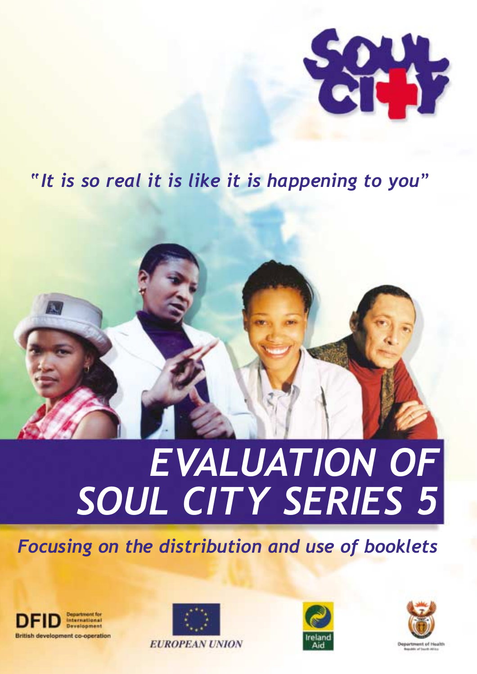

# *"It is so real it is like it is happening to you"*



# *EVALUATION OF SOUL CITY SERIES 5*

# *Focusing on the distribution and use of booklets*







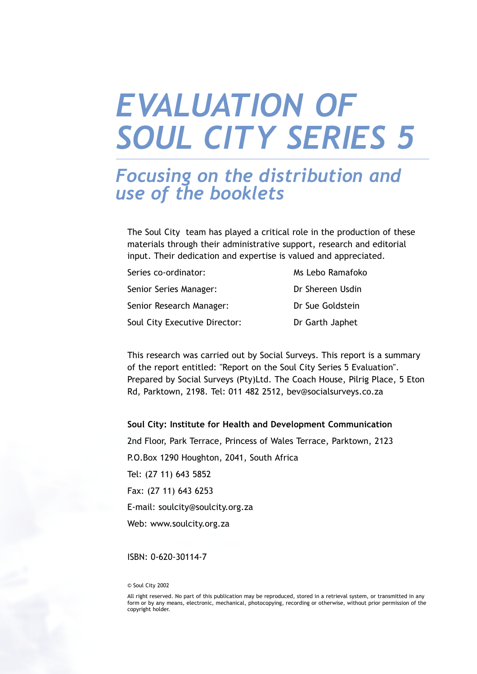# **EVALUATION OF** *SOUL CITY SERIES 5*

# *Focusing on the distribution and use of the booklets*

The Soul City team has played a critical role in the production of these materials through their administrative support, research and editorial input. Their dedication and expertise is valued and appreciated.

| Series co-ordinator:          | Ms Lebo Ramafoko |
|-------------------------------|------------------|
| Senior Series Manager:        | Dr Shereen Usdin |
| Senior Research Manager:      | Dr Sue Goldstein |
| Soul City Executive Director: | Dr Garth Japhet  |

This research was carried out by Social Surveys. This report is a summary of the report entitled: "Report on the Soul City Series 5 Evaluation". Prepared by Social Surveys (Pty)Ltd. The Coach House, Pilrig Place, 5 Eton Rd, Parktown, 2198. Tel: 011 482 2512, bev@socialsurveys.co.za

#### **Soul City: Institute for Health and Development Communication**

2nd Floor, Park Terrace, Princess of Wales Terrace, Parktown, 2123 P.O.Box 1290 Houghton, 2041, South Africa Tel: (27 11) 643 5852 Fax: (27 11) 643 6253 E-mail: soulcity@soulcity.org.za Web: www.soulcity.org.za

#### ISBN: 0-620-30114-7

© Soul City 2002

All right reserved. No part of this publication may be reproduced, stored in a retrieval system, or transmitted in any form or by any means, electronic, mechanical, photocopying, recording or otherwise, without prior permission of the copyright holder.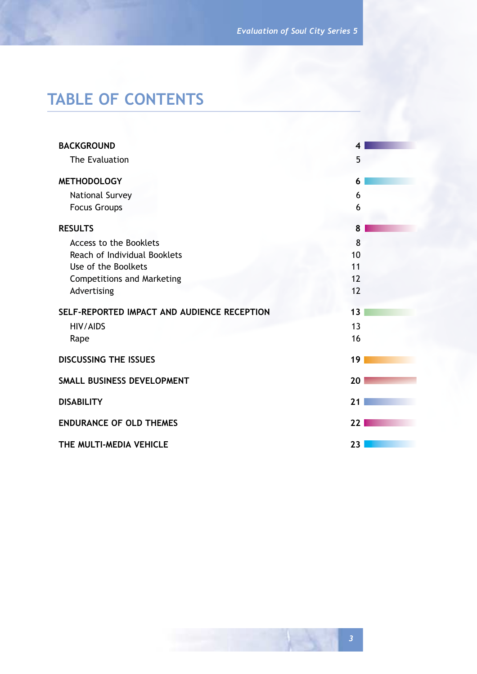# **TABLE OF CONTENTS**

| <b>BACKGROUND</b>                           |    |
|---------------------------------------------|----|
| The Evaluation                              | 5  |
| <b>METHODOLOGY</b>                          | 6  |
| National Survey                             | 6  |
| <b>Focus Groups</b>                         | 6  |
| <b>RESULTS</b>                              | 8  |
| Access to the Booklets                      | 8  |
| Reach of Individual Booklets                | 10 |
| Use of the Boolkets                         | 11 |
| <b>Competitions and Marketing</b>           | 12 |
| Advertising                                 | 12 |
| SELF-REPORTED IMPACT AND AUDIENCE RECEPTION | 13 |
| <b>HIV/AIDS</b>                             | 13 |
| Rape                                        | 16 |
| <b>DISCUSSING THE ISSUES</b>                | 19 |
| SMALL BUSINESS DEVELOPMENT                  | 20 |
| <b>DISABILITY</b>                           | 21 |
| <b>ENDURANCE OF OLD THEMES</b>              | 22 |
| THE MULTI-MEDIA VEHICLE                     | 23 |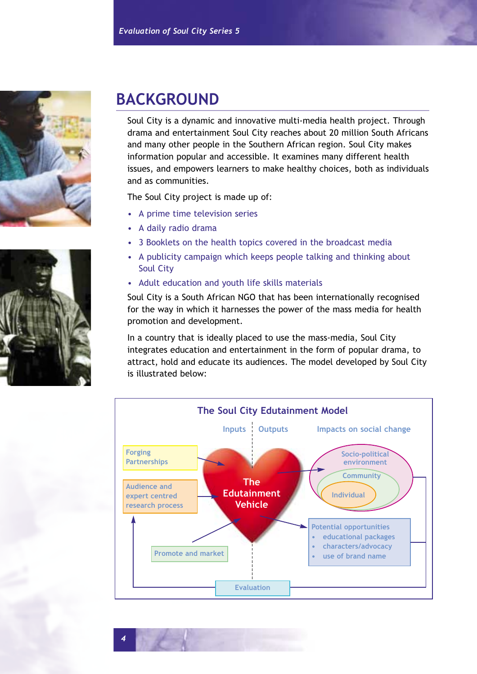



# **BACKGROUND**

Soul City is a dynamic and innovative multi-media health project. Through drama and entertainment Soul City reaches about 20 million South Africans and many other people in the Southern African region. Soul City makes information popular and accessible. It examines many different health issues, and empowers learners to make healthy choices, both as individuals and as communities.

The Soul City project is made up of:

- A prime time television series
- A daily radio drama
- 3 Booklets on the health topics covered in the broadcast media
- A publicity campaign which keeps people talking and thinking about Soul City
- Adult education and youth life skills materials

Soul City is a South African NGO that has been internationally recognised for the way in which it harnesses the power of the mass media for health promotion and development.

In a country that is ideally placed to use the mass-media, Soul City integrates education and entertainment in the form of popular drama, to attract, hold and educate its audiences. The model developed by Soul City is illustrated below:



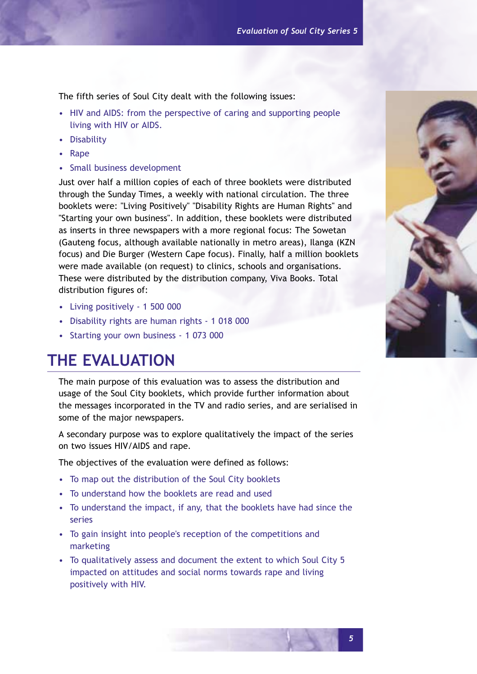The fifth series of Soul City dealt with the following issues:

- HIV and AIDS: from the perspective of caring and supporting people living with HIV or AIDS.
- Disability
- Rape
- Small business development

Just over half a million copies of each of three booklets were distributed through the Sunday Times, a weekly with national circulation. The three booklets were: "Living Positively" "Disability Rights are Human Rights" and "Starting your own business". In addition, these booklets were distributed as inserts in three newspapers with a more regional focus: The Sowetan (Gauteng focus, although available nationally in metro areas), Ilanga (KZN focus) and Die Burger (Western Cape focus). Finally, half a million booklets were made available (on request) to clinics, schools and organisations. These were distributed by the distribution company, Viva Books. Total distribution figures of:

- Living positively 1 500 000
- Disability rights are human rights 1 018 000
- Starting your own business 1 073 000

# **THE EVALUATION**

The main purpose of this evaluation was to assess the distribution and usage of the Soul City booklets, which provide further information about the messages incorporated in the TV and radio series, and are serialised in some of the major newspapers.

A secondary purpose was to explore qualitatively the impact of the series on two issues HIV/AIDS and rape.

The objectives of the evaluation were defined as follows:

- To map out the distribution of the Soul City booklets
- To understand how the booklets are read and used
- To understand the impact, if any, that the booklets have had since the series
- To gain insight into people's reception of the competitions and marketing
- To qualitatively assess and document the extent to which Soul City 5 impacted on attitudes and social norms towards rape and living positively with HIV.

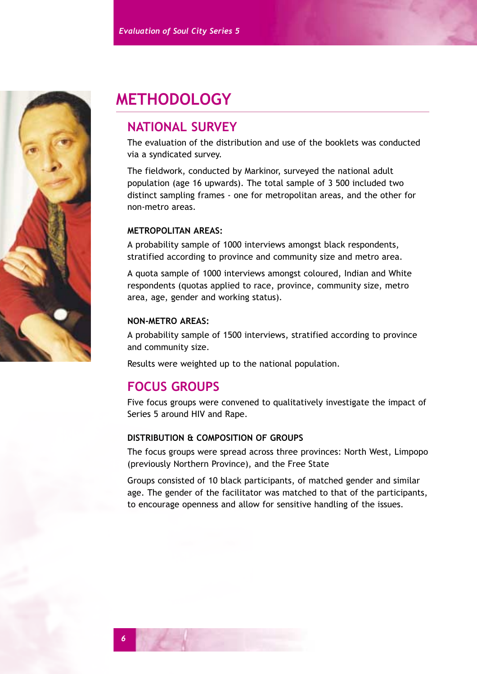

# **METHODOLOGY**

# **NATIONAL SURVEY**

The evaluation of the distribution and use of the booklets was conducted via a syndicated survey.

The fieldwork, conducted by Markinor, surveyed the national adult population (age 16 upwards). The total sample of 3 500 included two distinct sampling frames - one for metropolitan areas, and the other for non-metro areas.

## **METROPOLITAN AREAS:**

A probability sample of 1000 interviews amongst black respondents, stratified according to province and community size and metro area.

A quota sample of 1000 interviews amongst coloured, Indian and White respondents (quotas applied to race, province, community size, metro area, age, gender and working status).

## **NON-METRO AREAS:**

A probability sample of 1500 interviews, stratified according to province and community size.

Results were weighted up to the national population.

# **FOCUS GROUPS**

Five focus groups were convened to qualitatively investigate the impact of Series 5 around HIV and Rape.

## **DISTRIBUTION & COMPOSITION OF GROUPS**

The focus groups were spread across three provinces: North West, Limpopo (previously Northern Province), and the Free State

Groups consisted of 10 black participants, of matched gender and similar age. The gender of the facilitator was matched to that of the participants, to encourage openness and allow for sensitive handling of the issues.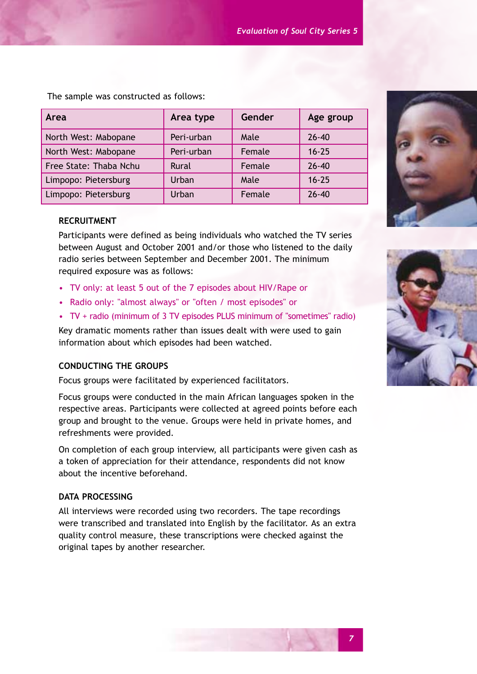| Area                   | Area type  | Gender | Age group |
|------------------------|------------|--------|-----------|
| North West: Mabopane   | Peri-urban | Male   | $26 - 40$ |
| North West: Mabopane   | Peri-urban | Female | $16 - 25$ |
| Free State: Thaba Nchu | Rural      | Female | $26 - 40$ |
| Limpopo: Pietersburg   | Urban      | Male   | $16 - 25$ |
| Limpopo: Pietersburg   | Urban      | Female | $26 - 40$ |

The sample was constructed as follows:

#### **RECRUITMENT**

Participants were defined as being individuals who watched the TV series between August and October 2001 and/or those who listened to the daily radio series between September and December 2001. The minimum required exposure was as follows:

- TV only: at least 5 out of the 7 episodes about HIV/Rape or
- Radio only: "almost always" or "often / most episodes" or
- TV + radio (minimum of 3 TV episodes PLUS minimum of "sometimes" radio)

Key dramatic moments rather than issues dealt with were used to gain information about which episodes had been watched.

## **CONDUCTING THE GROUPS**

Focus groups were facilitated by experienced facilitators.

Focus groups were conducted in the main African languages spoken in the respective areas. Participants were collected at agreed points before each group and brought to the venue. Groups were held in private homes, and refreshments were provided.

On completion of each group interview, all participants were given cash as a token of appreciation for their attendance, respondents did not know about the incentive beforehand.

## **DATA PROCESSING**

All interviews were recorded using two recorders. The tape recordings were transcribed and translated into English by the facilitator. As an extra quality control measure, these transcriptions were checked against the original tapes by another researcher.





*7*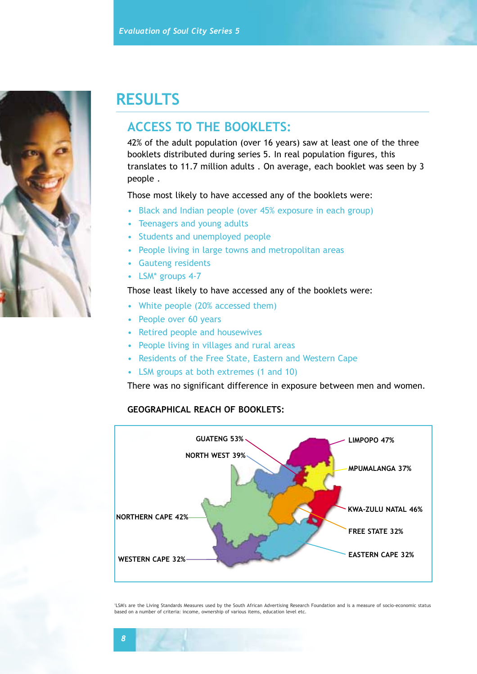

# **RESULTS**

## **ACCESS TO THE BOOKLETS:**

42% of the adult population (over 16 years) saw at least one of the three booklets distributed during series 5. In real population figures, this translates to 11.7 million adults . On average, each booklet was seen by 3 people .

Those most likely to have accessed any of the booklets were:

- Black and Indian people (over 45% exposure in each group)
- Teenagers and young adults
- Students and unemployed people
- People living in large towns and metropolitan areas
- Gauteng residents
- LSM<sup>\*</sup> groups 4-7

#### Those least likely to have accessed any of the booklets were:

- White people (20% accessed them)
- People over 60 years
- Retired people and housewives
- People living in villages and rural areas
- Residents of the Free State, Eastern and Western Cape
- LSM groups at both extremes (1 and 10)

There was no significant difference in exposure between men and women.

#### **GEOGRAPHICAL REACH OF BOOKLETS:**



'LSM's are the Living Standards Measures used by the South African Advertising Research Foundation and is a measure of socio-economic status based on a number of criteria: income, ownership of various items, education level etc.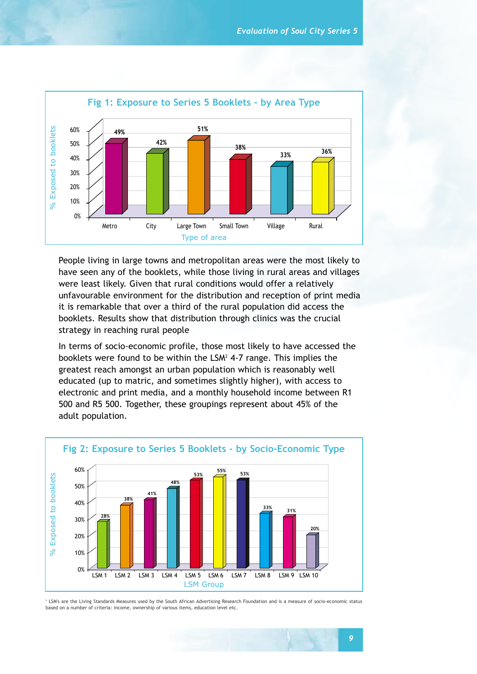

People living in large towns and metropolitan areas were the most likely to have seen any of the booklets, while those living in rural areas and villages were least likely. Given that rural conditions would offer a relatively unfavourable environment for the distribution and reception of print media it is remarkable that over a third of the rural population did access the booklets. Results show that distribution through clinics was the crucial strategy in reaching rural people

In terms of socio-economic profile, those most likely to have accessed the booklets were found to be within the LSM<sup>2</sup> 4-7 range. This implies the greatest reach amongst an urban population which is reasonably well educated (up to matric, and sometimes slightly higher), with access to electronic and print media, and a monthly household income between R1 500 and R5 500. Together, these groupings represent about 45% of the adult population.



<sup>2</sup> LSM's are the Living Standards Measures used by the South African Advertising Research Foundation and is a measure of socio-economic status based on a number of criteria: income, ownership of various items, education level etc.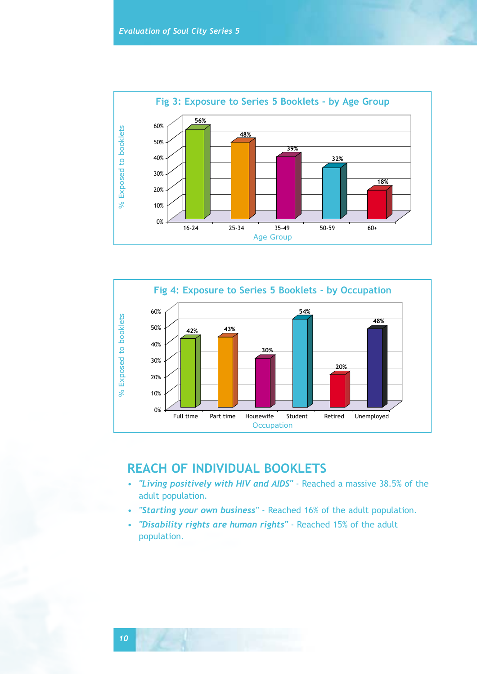



# **REACH OF INDIVIDUAL BOOKLETS**

- *"Living positively with HIV and AIDS"* Reached a massive 38.5% of the adult population.
- *"Starting your own business"* Reached 16% of the adult population.
- *"Disability rights are human rights"* Reached 15% of the adult population.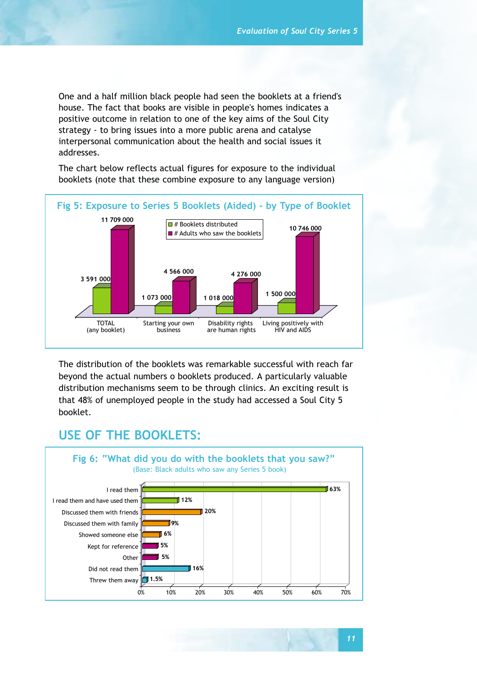One and a half million black people had seen the booklets at a friend's house. The fact that books are visible in people's homes indicates a positive outcome in relation to one of the key aims of the Soul City strategy - to bring issues into a more public arena and catalyse interpersonal communication about the health and social issues it addresses.

The chart below reflects actual figures for exposure to the individual booklets (note that these combine exposure to any language version)



The distribution of the booklets was remarkable successful with reach far beyond the actual numbers o booklets produced. A particularly valuable distribution mechanisms seem to be through clinics. An exciting result is that 48% of unemployed people in the study had accessed a Soul City 5 booklet.

# **USE OF THE BOOKLETS:**

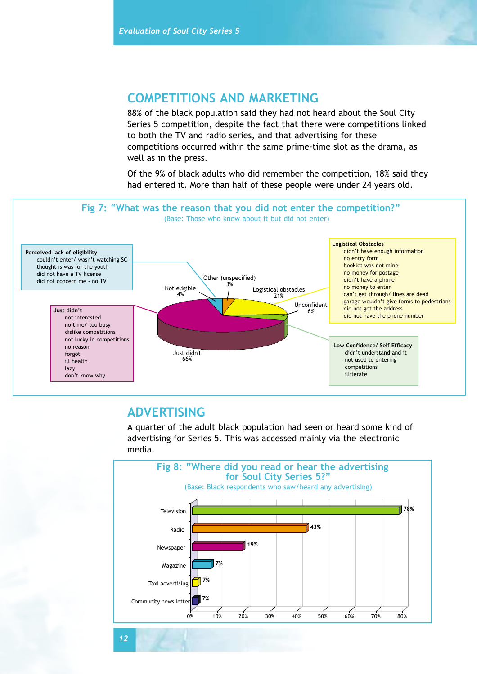## **COMPETITIONS AND MARKETING**

88% of the black population said they had not heard about the Soul City Series 5 competition, despite the fact that there were competitions linked to both the TV and radio series, and that advertising for these competitions occurred within the same prime-time slot as the drama, as well as in the press.

Of the 9% of black adults who did remember the competition, 18% said they had entered it. More than half of these people were under 24 years old.



## **ADVERTISING**

A quarter of the adult black population had seen or heard some kind of advertising for Series 5. This was accessed mainly via the electronic media.

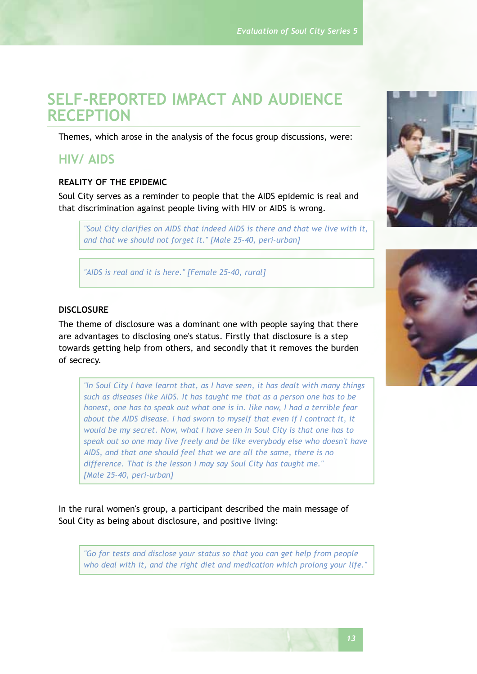# **SELF-REPORTED IMPACT AND AUDIENCE RECEPTION**

Themes, which arose in the analysis of the focus group discussions, were:

## **HIV/ AIDS**

#### **REALITY OF THE EPIDEMIC**

Soul City serves as a reminder to people that the AIDS epidemic is real and that discrimination against people living with HIV or AIDS is wrong.

*"Soul City clarifies on AIDS that indeed AIDS is there and that we live with it, and that we should not forget it." [Male 25-40, peri-urban]* 

*"AIDS is real and it is here." [Female 25-40, rural]*

#### **DISCLOSURE**

The theme of disclosure was a dominant one with people saying that there are advantages to disclosing one's status. Firstly that disclosure is a step towards getting help from others, and secondly that it removes the burden of secrecy.

*"In Soul City I have learnt that, as I have seen, it has dealt with many things such as diseases like AIDS. It has taught me that as a person one has to be honest, one has to speak out what one is in. like now, I had a terrible fear about the AIDS disease. I had sworn to myself that even if I contract it, it would be my secret. Now, what I have seen in Soul City is that one has to speak out so one may live freely and be like everybody else who doesn't have AIDS, and that one should feel that we are all the same, there is no difference. That is the lesson I may say Soul City has taught me." [Male 25-40, peri-urban]*

In the rural women's group, a participant described the main message of Soul City as being about disclosure, and positive living:

*"Go for tests and disclose your status so that you can get help from people who deal with it, and the right diet and medication which prolong your life."*



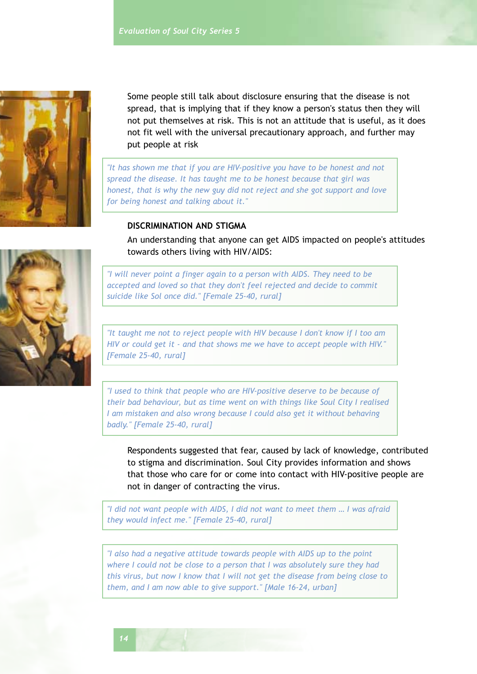

Some people still talk about disclosure ensuring that the disease is not spread, that is implying that if they know a person's status then they will not put themselves at risk. This is not an attitude that is useful, as it does not fit well with the universal precautionary approach, and further may put people at risk

*"It has shown me that if you are HIV-positive you have to be honest and not spread the disease. It has taught me to be honest because that girl was honest, that is why the new guy did not reject and she got support and love for being honest and talking about it."*

## **DISCRIMINATION AND STIGMA**

An understanding that anyone can get AIDS impacted on people's attitudes towards others living with HIV/AIDS:

*"I will never point a finger again to a person with AIDS. They need to be accepted and loved so that they don't feel rejected and decide to commit suicide like Sol once did." [Female 25-40, rural]*

*"It taught me not to reject people with HIV because I don't know if I too am HIV or could get it - and that shows me we have to accept people with HIV." [Female 25-40, rural]*

*"I used to think that people who are HIV-positive deserve to be because of their bad behaviour, but as time went on with things like Soul City I realised I am mistaken and also wrong because I could also get it without behaving badly." [Female 25-40, rural]*

Respondents suggested that fear, caused by lack of knowledge, contributed to stigma and discrimination. Soul City provides information and shows that those who care for or come into contact with HIV-positive people are not in danger of contracting the virus.

*"I did not want people with AIDS, I did not want to meet them … I was afraid they would infect me." [Female 25-40, rural]*

*"I also had a negative attitude towards people with AIDS up to the point where I could not be close to a person that I was absolutely sure they had this virus, but now I know that I will not get the disease from being close to them, and I am now able to give support." [Male 16-24, urban]*



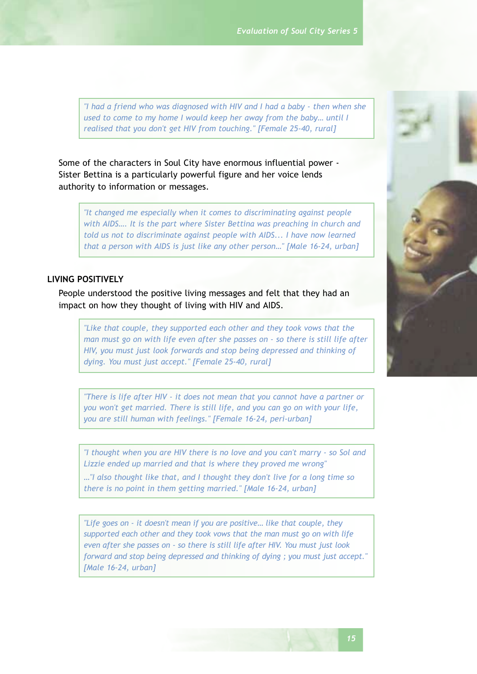*"I had a friend who was diagnosed with HIV and I had a baby - then when she used to come to my home I would keep her away from the baby… until I realised that you don't get HIV from touching." [Female 25-40, rural]*

Some of the characters in Soul City have enormous influential power - Sister Bettina is a particularly powerful figure and her voice lends authority to information or messages.

*"It changed me especially when it comes to discriminating against people with AIDS…. It is the part where Sister Bettina was preaching in church and told us not to discriminate against people with AIDS... I have now learned that a person with AIDS is just like any other person…" [Male 16-24, urban]*

#### **LIVING POSITIVELY**

People understood the positive living messages and felt that they had an impact on how they thought of living with HIV and AIDS.

*"Like that couple, they supported each other and they took vows that the man must go on with life even after she passes on - so there is still life after HIV, you must just look forwards and stop being depressed and thinking of dying. You must just accept." [Female 25-40, rural]*

*"There is life after HIV - it does not mean that you cannot have a partner or you won't get married. There is still life, and you can go on with your life, you are still human with feelings." [Female 16-24, peri-urban]*

*"I thought when you are HIV there is no love and you can't marry - so Sol and Lizzie ended up married and that is where they proved me wrong"*

*…"I also thought like that, and I thought they don't live for a long time so there is no point in them getting married." [Male 16-24, urban]*

*"Life goes on - it doesn't mean if you are positive… like that couple, they supported each other and they took vows that the man must go on with life even after she passes on - so there is still life after HIV. You must just look forward and stop being depressed and thinking of dying ; you must just accept." [Male 16-24, urban]*

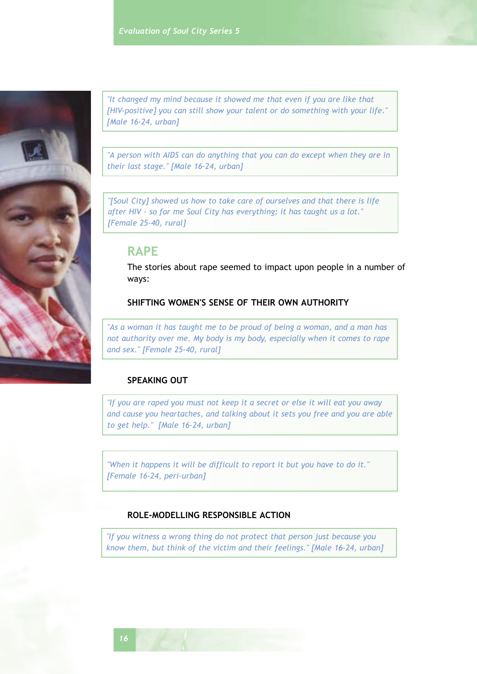

*"It changed my mind because it showed me that even if you are like that [HIV-positive] you can still show your talent or do something with your life." [Male 16-24, urban]*

*"A person with AIDS can do anything that you can do except when they are in their last stage." [Male 16-24, urban]*

*"[Soul City] showed us how to take care of ourselves and that there is life after HIV - so for me Soul City has everything; it has taught us a lot." [Female 25-40, rural]*

## **RAPE**

The stories about rape seemed to impact upon people in a number of ways:

## **SHIFTING WOMEN'S SENSE OF THEIR OWN AUTHORITY**

*"As a woman it has taught me to be proud of being a woman, and a man has not authority over me. My body is my body, especially when it comes to rape and sex." [Female 25-40, rural]*

## **SPEAKING OUT**

*"If you are raped you must not keep it a secret or else it will eat you away and cause you heartaches, and talking about it sets you free and you are able to get help." [Male 16-24, urban]*

*"When it happens it will be difficult to report it but you have to do it." [Female 16-24, peri-urban]*

## **ROLE-MODELLING RESPONSIBLE ACTION**

*"If you witness a wrong thing do not protect that person just because you know them, but think of the victim and their feelings." [Male 16-24, urban]*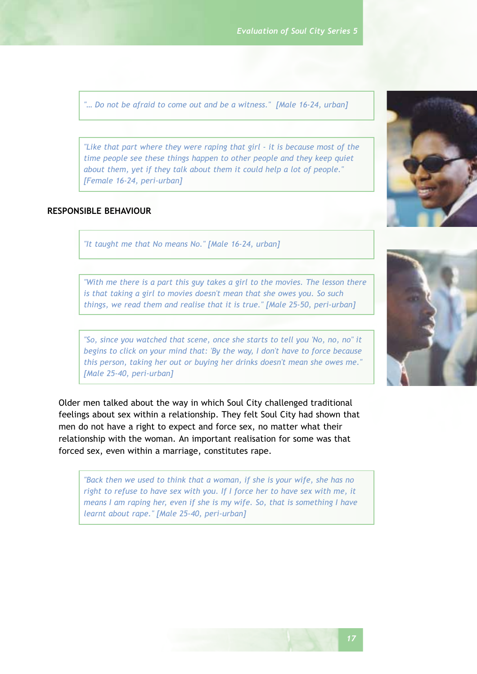*"… Do not be afraid to come out and be a witness." [Male 16-24, urban]*

*"Like that part where they were raping that girl - it is because most of the time people see these things happen to other people and they keep quiet about them, yet if they talk about them it could help a lot of people." [Female 16-24, peri-urban]*

## **RESPONSIBLE BEHAVIOUR**

*"It taught me that No means No." [Male 16-24, urban]*

*"With me there is a part this guy takes a girl to the movies. The lesson there is that taking a girl to movies doesn't mean that she owes you. So such things, we read them and realise that it is true." [Male 25-50, peri-urban]*

*"So, since you watched that scene, once she starts to tell you 'No, no, no" it begins to click on your mind that: 'By the way, I don't have to force because this person, taking her out or buying her drinks doesn't mean she owes me." [Male 25-40, peri-urban]*

Older men talked about the way in which Soul City challenged traditional feelings about sex within a relationship. They felt Soul City had shown that men do not have a right to expect and force sex, no matter what their relationship with the woman. An important realisation for some was that forced sex, even within a marriage, constitutes rape.

*"Back then we used to think that a woman, if she is your wife, she has no right to refuse to have sex with you. If I force her to have sex with me, it means I am raping her, even if she is my wife. So, that is something I have learnt about rape." [Male 25-40, peri-urban]*



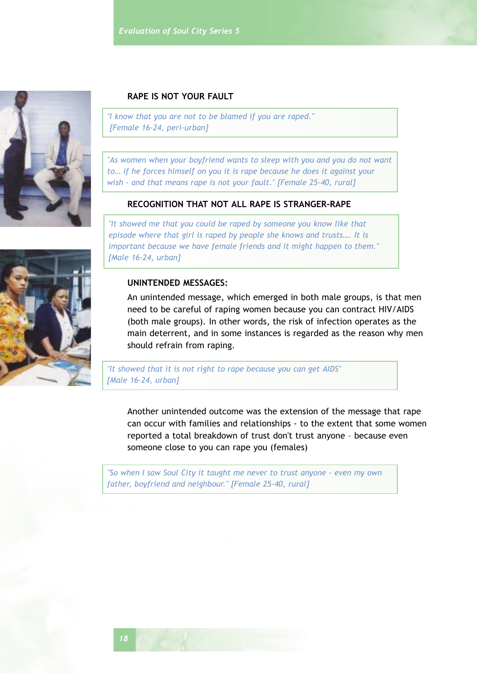

## **RAPE IS NOT YOUR FAULT**

*"I know that you are not to be blamed if you are raped." [Female 16-24, peri-urban]*

*"As women when your boyfriend wants to sleep with you and you do not want to… if he forces himself on you it is rape because he does it against your wish - and that means rape is not your fault." [Female 25-40, rural]*

## **RECOGNITION THAT NOT ALL RAPE IS STRANGER-RAPE**

*"It showed me that you could be raped by someone you know like that episode where that girl is raped by people she knows and trusts…. It is important because we have female friends and it might happen to them." [Male 16-24, urban]*

#### **UNINTENDED MESSAGES:**

An unintended message, which emerged in both male groups, is that men need to be careful of raping women because you can contract HIV/AIDS (both male groups). In other words, the risk of infection operates as the main deterrent, and in some instances is regarded as the reason why men should refrain from raping.

*"It showed that it is not right to rape because you can get AIDS" [Male 16-24, urban]*

Another unintended outcome was the extension of the message that rape can occur with families and relationships - to the extent that some women reported a total breakdown of trust don't trust anyone – because even someone close to you can rape you (females)

*"So when I saw Soul City it taught me never to trust anyone - even my own father, boyfriend and neighbour." [Female 25-40, rural]*

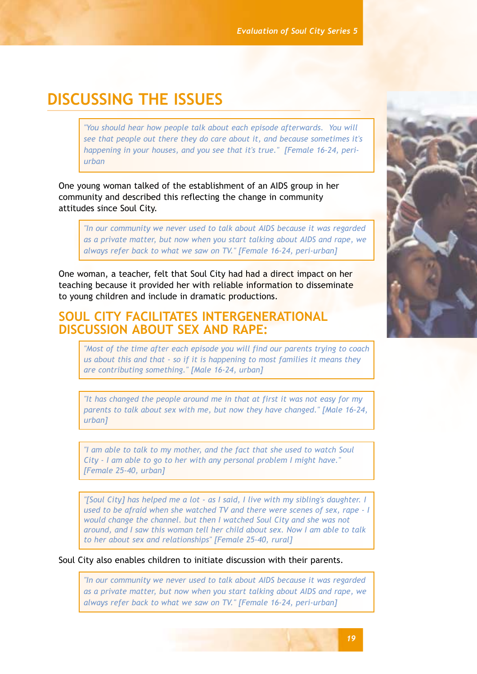# **DISCUSSING THE ISSUES**

*"You should hear how people talk about each episode afterwards. You will see that people out there they do care about it, and because sometimes it's happening in your houses, and you see that it's true." [Female 16-24, periurban*

One young woman talked of the establishment of an AIDS group in her community and described this reflecting the change in community attitudes since Soul City.

*"In our community we never used to talk about AIDS because it was regarded as a private matter, but now when you start talking about AIDS and rape, we always refer back to what we saw on TV." [Female 16-24, peri-urban]*

One woman, a teacher, felt that Soul City had had a direct impact on her teaching because it provided her with reliable information to disseminate to young children and include in dramatic productions.

## **SOUL CITY FACILITATES INTERGENERATIONAL DISCUSSION ABOUT SEX AND RAPE:**

*"Most of the time after each episode you will find our parents trying to coach us about this and that - so if it is happening to most families it means they are contributing something." [Male 16-24, urban]*

*"It has changed the people around me in that at first it was not easy for my parents to talk about sex with me, but now they have changed." [Male 16-24, urban]*

*"I am able to talk to my mother, and the fact that she used to watch Soul City - I am able to go to her with any personal problem I might have." [Female 25-40, urban]*

*"[Soul City] has helped me a lot - as I said, I live with my sibling's daughter. I used to be afraid when she watched TV and there were scenes of sex, rape - I would change the channel. but then I watched Soul City and she was not around, and I saw this woman tell her child about sex. Now I am able to talk to her about sex and relationships" [Female 25-40, rural]*

Soul City also enables children to initiate discussion with their parents.

*"In our community we never used to talk about AIDS because it was regarded as a private matter, but now when you start talking about AIDS and rape, we always refer back to what we saw on TV." [Female 16-24, peri-urban]*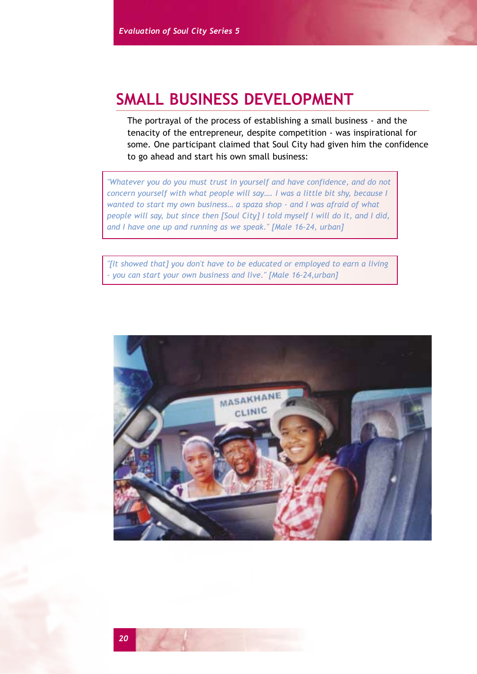# **SMALL BUSINESS DEVELOPMENT**

The portrayal of the process of establishing a small business - and the tenacity of the entrepreneur, despite competition - was inspirational for some. One participant claimed that Soul City had given him the confidence to go ahead and start his own small business:

*"Whatever you do you must trust in yourself and have confidence, and do not concern yourself with what people will say…. I was a little bit shy, because I wanted to start my own business… a spaza shop - and I was afraid of what people will say, but since then [Soul City] I told myself I will do it, and I did, and I have one up and running as we speak." [Male 16-24, urban]*

*"[It showed that] you don't have to be educated or employed to earn a living - you can start your own business and live." [Male 16-24,urban]*

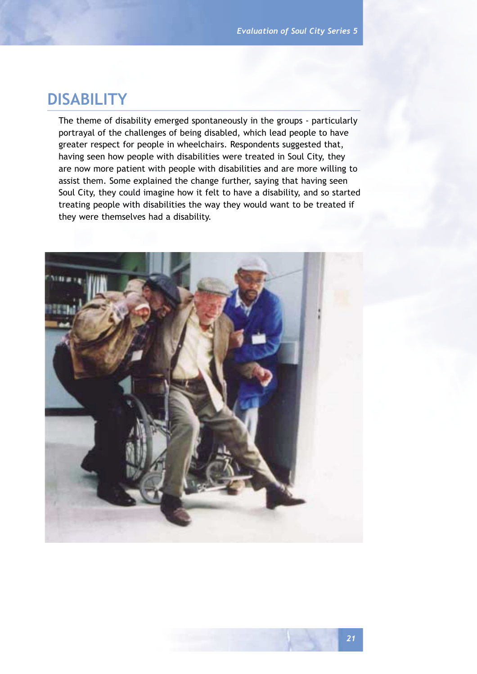# **DISABILITY**

The theme of disability emerged spontaneously in the groups - particularly portrayal of the challenges of being disabled, which lead people to have greater respect for people in wheelchairs. Respondents suggested that, having seen how people with disabilities were treated in Soul City, they are now more patient with people with disabilities and are more willing to assist them. Some explained the change further, saying that having seen Soul City, they could imagine how it felt to have a disability, and so started treating people with disabilities the way they would want to be treated if they were themselves had a disability.

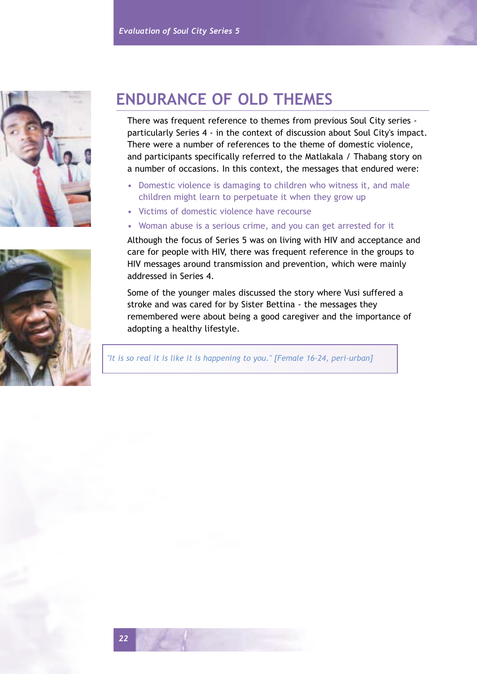



# **ENDURANCE OF OLD THEMES**

There was frequent reference to themes from previous Soul City series particularly Series 4 - in the context of discussion about Soul City's impact. There were a number of references to the theme of domestic violence, and participants specifically referred to the Matlakala / Thabang story on a number of occasions. In this context, the messages that endured were:

- Domestic violence is damaging to children who witness it, and male children might learn to perpetuate it when they grow up
- Victims of domestic violence have recourse
- Woman abuse is a serious crime, and you can get arrested for it

Although the focus of Series 5 was on living with HIV and acceptance and care for people with HIV, there was frequent reference in the groups to HIV messages around transmission and prevention, which were mainly addressed in Series 4.

Some of the younger males discussed the story where Vusi suffered a stroke and was cared for by Sister Bettina - the messages they remembered were about being a good caregiver and the importance of adopting a healthy lifestyle.

*"It is so real it is like it is happening to you." [Female 16-24, peri-urban]*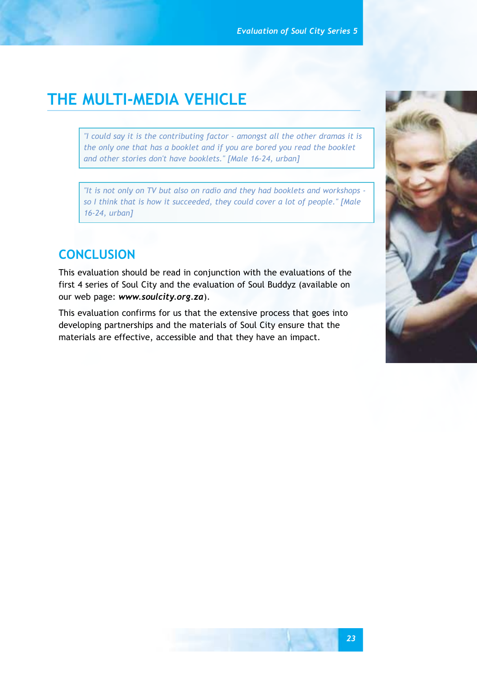# **THE MULTI-MEDIA VEHICLE**

*"I could say it is the contributing factor - amongst all the other dramas it is the only one that has a booklet and if you are bored you read the booklet and other stories don't have booklets." [Male 16-24, urban]*

*"It is not only on TV but also on radio and they had booklets and workshops so I think that is how it succeeded, they could cover a lot of people." [Male 16-24, urban]*

# **CONCLUSION**

This evaluation should be read in conjunction with the evaluations of the first 4 series of Soul City and the evaluation of Soul Buddyz (available on our web page: *www.soulcity.org.za*).

This evaluation confirms for us that the extensive process that goes into developing partnerships and the materials of Soul City ensure that the materials are effective, accessible and that they have an impact.